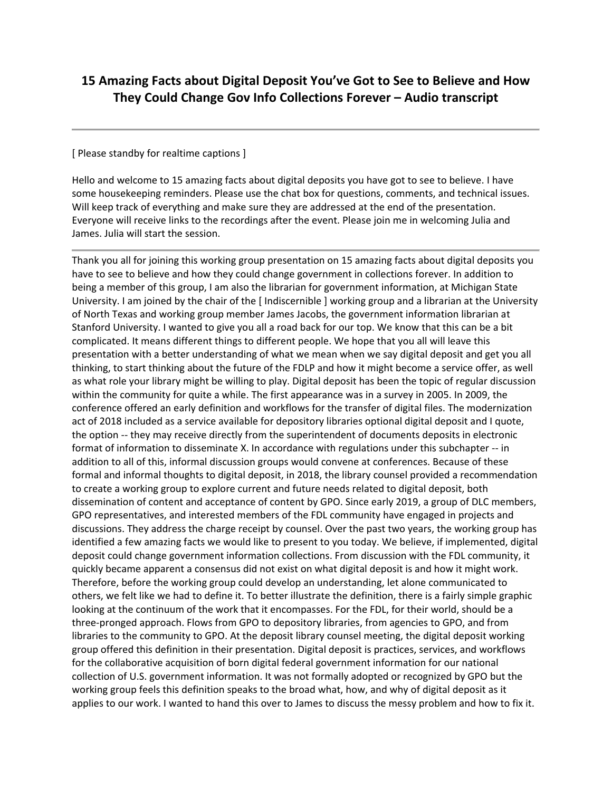## **15 Amazing Facts about Digital Deposit You've Got to See to Believe and How They Could Change Gov Info Collections Forever – Audio transcript**

## [ Please standby for realtime captions ]

Hello and welcome to 15 amazing facts about digital deposits you have got to see to believe. I have some housekeeping reminders. Please use the chat box for questions, comments, and technical issues. Will keep track of everything and make sure they are addressed at the end of the presentation. Everyone will receive links to the recordings after the event. Please join me in welcoming Julia and James. Julia will start the session.

Thank you all for joining this working group presentation on 15 amazing facts about digital deposits you have to see to believe and how they could change government in collections forever. In addition to being a member of this group, I am also the librarian for government information, at Michigan State University. I am joined by the chair of the [ Indiscernible ] working group and a librarian at the University of North Texas and working group member James Jacobs, the government information librarian at Stanford University. I wanted to give you all a road back for our top. We know that this can be a bit complicated. It means different things to different people. We hope that you all will leave this presentation with a better understanding of what we mean when we say digital deposit and get you all thinking, to start thinking about the future of the FDLP and how it might become a service offer, as well as what role your library might be willing to play. Digital deposit has been the topic of regular discussion within the community for quite a while. The first appearance was in a survey in 2005. In 2009, the conference offered an early definition and workflows for the transfer of digital files. The modernization act of 2018 included as a service available for depository libraries optional digital deposit and I quote, the option -- they may receive directly from the superintendent of documents deposits in electronic format of information to disseminate X. In accordance with regulations under this subchapter -- in addition to all of this, informal discussion groups would convene at conferences. Because of these formal and informal thoughts to digital deposit, in 2018, the library counsel provided a recommendation to create a working group to explore current and future needs related to digital deposit, both dissemination of content and acceptance of content by GPO. Since early 2019, a group of DLC members, GPO representatives, and interested members of the FDL community have engaged in projects and discussions. They address the charge receipt by counsel. Over the past two years, the working group has identified a few amazing facts we would like to present to you today. We believe, if implemented, digital deposit could change government information collections. From discussion with the FDL community, it quickly became apparent a consensus did not exist on what digital deposit is and how it might work. Therefore, before the working group could develop an understanding, let alone communicated to others, we felt like we had to define it. To better illustrate the definition, there is a fairly simple graphic looking at the continuum of the work that it encompasses. For the FDL, for their world, should be a three-pronged approach. Flows from GPO to depository libraries, from agencies to GPO, and from libraries to the community to GPO. At the deposit library counsel meeting, the digital deposit working group offered this definition in their presentation. Digital deposit is practices, services, and workflows for the collaborative acquisition of born digital federal government information for our national collection of U.S. government information. It was not formally adopted or recognized by GPO but the working group feels this definition speaks to the broad what, how, and why of digital deposit as it applies to our work. I wanted to hand this over to James to discuss the messy problem and how to fix it.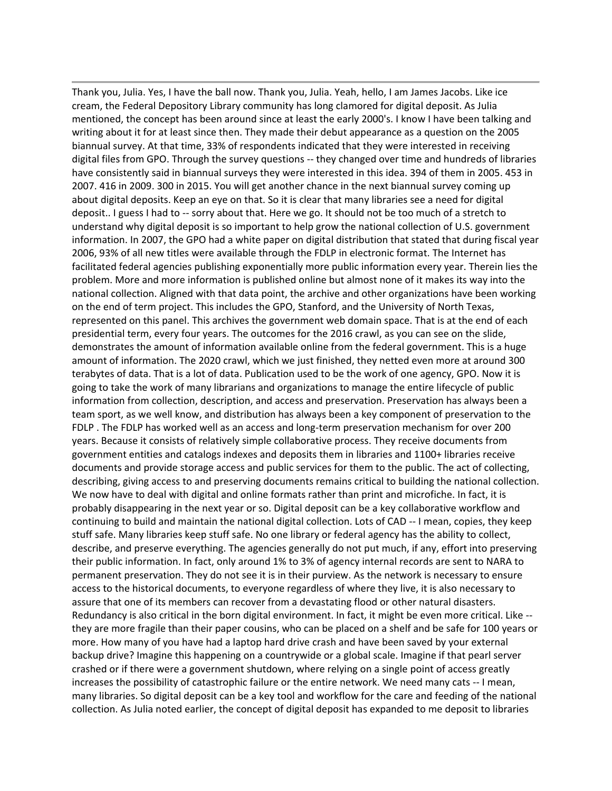Thank you, Julia. Yes, I have the ball now. Thank you, Julia. Yeah, hello, I am James Jacobs. Like ice cream, the Federal Depository Library community has long clamored for digital deposit. As Julia mentioned, the concept has been around since at least the early 2000's. I know I have been talking and writing about it for at least since then. They made their debut appearance as a question on the 2005 biannual survey. At that time, 33% of respondents indicated that they were interested in receiving digital files from GPO. Through the survey questions -- they changed over time and hundreds of libraries have consistently said in biannual surveys they were interested in this idea. 394 of them in 2005. 453 in 2007. 416 in 2009. 300 in 2015. You will get another chance in the next biannual survey coming up about digital deposits. Keep an eye on that. So it is clear that many libraries see a need for digital deposit.. I guess I had to -- sorry about that. Here we go. It should not be too much of a stretch to understand why digital deposit is so important to help grow the national collection of U.S. government information. In 2007, the GPO had a white paper on digital distribution that stated that during fiscal year 2006, 93% of all new titles were available through the FDLP in electronic format. The Internet has facilitated federal agencies publishing exponentially more public information every year. Therein lies the problem. More and more information is published online but almost none of it makes its way into the national collection. Aligned with that data point, the archive and other organizations have been working on the end of term project. This includes the GPO, Stanford, and the University of North Texas, represented on this panel. This archives the government web domain space. That is at the end of each presidential term, every four years. The outcomes for the 2016 crawl, as you can see on the slide, demonstrates the amount of information available online from the federal government. This is a huge amount of information. The 2020 crawl, which we just finished, they netted even more at around 300 terabytes of data. That is a lot of data. Publication used to be the work of one agency, GPO. Now it is going to take the work of many librarians and organizations to manage the entire lifecycle of public information from collection, description, and access and preservation. Preservation has always been a team sport, as we well know, and distribution has always been a key component of preservation to the FDLP . The FDLP has worked well as an access and long-term preservation mechanism for over 200 years. Because it consists of relatively simple collaborative process. They receive documents from government entities and catalogs indexes and deposits them in libraries and 1100+ libraries receive documents and provide storage access and public services for them to the public. The act of collecting, describing, giving access to and preserving documents remains critical to building the national collection. We now have to deal with digital and online formats rather than print and microfiche. In fact, it is probably disappearing in the next year or so. Digital deposit can be a key collaborative workflow and continuing to build and maintain the national digital collection. Lots of CAD -- I mean, copies, they keep stuff safe. Many libraries keep stuff safe. No one library or federal agency has the ability to collect, describe, and preserve everything. The agencies generally do not put much, if any, effort into preserving their public information. In fact, only around 1% to 3% of agency internal records are sent to NARA to permanent preservation. They do not see it is in their purview. As the network is necessary to ensure access to the historical documents, to everyone regardless of where they live, it is also necessary to assure that one of its members can recover from a devastating flood or other natural disasters. Redundancy is also critical in the born digital environment. In fact, it might be even more critical. Like - they are more fragile than their paper cousins, who can be placed on a shelf and be safe for 100 years or more. How many of you have had a laptop hard drive crash and have been saved by your external backup drive? Imagine this happening on a countrywide or a global scale. Imagine if that pearl server crashed or if there were a government shutdown, where relying on a single point of access greatly increases the possibility of catastrophic failure or the entire network. We need many cats -- I mean, many libraries. So digital deposit can be a key tool and workflow for the care and feeding of the national collection. As Julia noted earlier, the concept of digital deposit has expanded to me deposit to libraries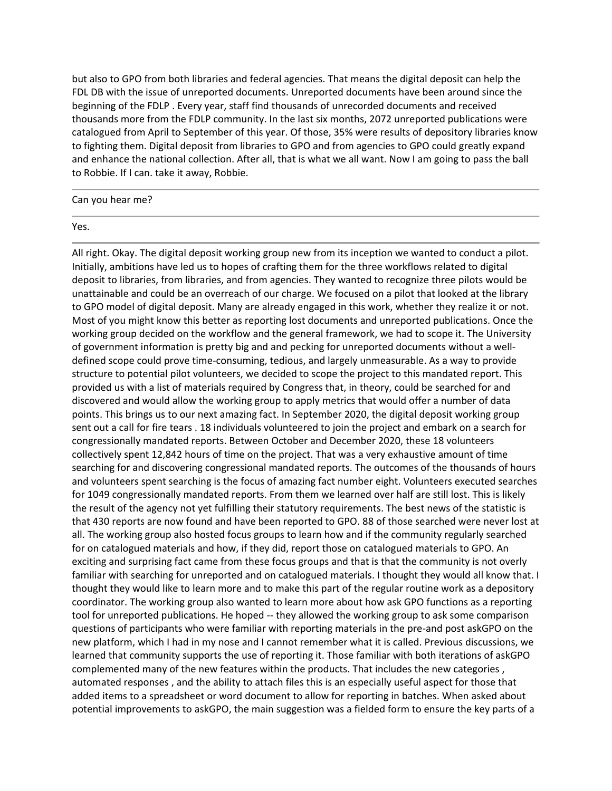but also to GPO from both libraries and federal agencies. That means the digital deposit can help the FDL DB with the issue of unreported documents. Unreported documents have been around since the beginning of the FDLP . Every year, staff find thousands of unrecorded documents and received thousands more from the FDLP community. In the last six months, 2072 unreported publications were catalogued from April to September of this year. Of those, 35% were results of depository libraries know to fighting them. Digital deposit from libraries to GPO and from agencies to GPO could greatly expand and enhance the national collection. After all, that is what we all want. Now I am going to pass the ball to Robbie. If I can. take it away, Robbie.

Can you hear me?

## Yes.

All right. Okay. The digital deposit working group new from its inception we wanted to conduct a pilot. Initially, ambitions have led us to hopes of crafting them for the three workflows related to digital deposit to libraries, from libraries, and from agencies. They wanted to recognize three pilots would be unattainable and could be an overreach of our charge. We focused on a pilot that looked at the library to GPO model of digital deposit. Many are already engaged in this work, whether they realize it or not. Most of you might know this better as reporting lost documents and unreported publications. Once the working group decided on the workflow and the general framework, we had to scope it. The University of government information is pretty big and and pecking for unreported documents without a welldefined scope could prove time-consuming, tedious, and largely unmeasurable. As a way to provide structure to potential pilot volunteers, we decided to scope the project to this mandated report. This provided us with a list of materials required by Congress that, in theory, could be searched for and discovered and would allow the working group to apply metrics that would offer a number of data points. This brings us to our next amazing fact. In September 2020, the digital deposit working group sent out a call for fire tears . 18 individuals volunteered to join the project and embark on a search for congressionally mandated reports. Between October and December 2020, these 18 volunteers collectively spent 12,842 hours of time on the project. That was a very exhaustive amount of time searching for and discovering congressional mandated reports. The outcomes of the thousands of hours and volunteers spent searching is the focus of amazing fact number eight. Volunteers executed searches for 1049 congressionally mandated reports. From them we learned over half are still lost. This is likely the result of the agency not yet fulfilling their statutory requirements. The best news of the statistic is that 430 reports are now found and have been reported to GPO. 88 of those searched were never lost at all. The working group also hosted focus groups to learn how and if the community regularly searched for on catalogued materials and how, if they did, report those on catalogued materials to GPO. An exciting and surprising fact came from these focus groups and that is that the community is not overly familiar with searching for unreported and on catalogued materials. I thought they would all know that. I thought they would like to learn more and to make this part of the regular routine work as a depository coordinator. The working group also wanted to learn more about how ask GPO functions as a reporting tool for unreported publications. He hoped -- they allowed the working group to ask some comparison questions of participants who were familiar with reporting materials in the pre-and post askGPO on the new platform, which I had in my nose and I cannot remember what it is called. Previous discussions, we learned that community supports the use of reporting it. Those familiar with both iterations of askGPO complemented many of the new features within the products. That includes the new categories , automated responses , and the ability to attach files this is an especially useful aspect for those that added items to a spreadsheet or word document to allow for reporting in batches. When asked about potential improvements to askGPO, the main suggestion was a fielded form to ensure the key parts of a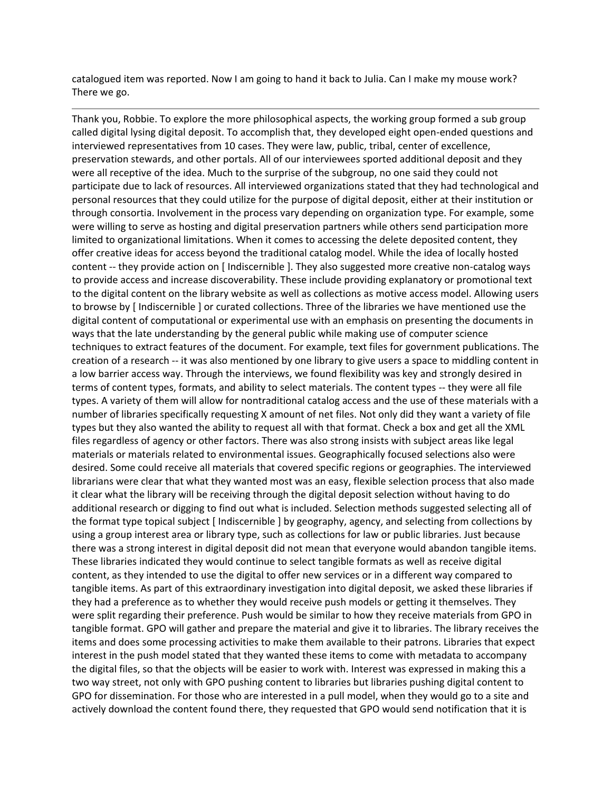catalogued item was reported. Now I am going to hand it back to Julia. Can I make my mouse work? There we go.

Thank you, Robbie. To explore the more philosophical aspects, the working group formed a sub group called digital lysing digital deposit. To accomplish that, they developed eight open-ended questions and interviewed representatives from 10 cases. They were law, public, tribal, center of excellence, preservation stewards, and other portals. All of our interviewees sported additional deposit and they were all receptive of the idea. Much to the surprise of the subgroup, no one said they could not participate due to lack of resources. All interviewed organizations stated that they had technological and personal resources that they could utilize for the purpose of digital deposit, either at their institution or through consortia. Involvement in the process vary depending on organization type. For example, some were willing to serve as hosting and digital preservation partners while others send participation more limited to organizational limitations. When it comes to accessing the delete deposited content, they offer creative ideas for access beyond the traditional catalog model. While the idea of locally hosted content -- they provide action on [ Indiscernible ]. They also suggested more creative non-catalog ways to provide access and increase discoverability. These include providing explanatory or promotional text to the digital content on the library website as well as collections as motive access model. Allowing users to browse by [ Indiscernible ] or curated collections. Three of the libraries we have mentioned use the digital content of computational or experimental use with an emphasis on presenting the documents in ways that the late understanding by the general public while making use of computer science techniques to extract features of the document. For example, text files for government publications. The creation of a research -- it was also mentioned by one library to give users a space to middling content in a low barrier access way. Through the interviews, we found flexibility was key and strongly desired in terms of content types, formats, and ability to select materials. The content types -- they were all file types. A variety of them will allow for nontraditional catalog access and the use of these materials with a number of libraries specifically requesting X amount of net files. Not only did they want a variety of file types but they also wanted the ability to request all with that format. Check a box and get all the XML files regardless of agency or other factors. There was also strong insists with subject areas like legal materials or materials related to environmental issues. Geographically focused selections also were desired. Some could receive all materials that covered specific regions or geographies. The interviewed librarians were clear that what they wanted most was an easy, flexible selection process that also made it clear what the library will be receiving through the digital deposit selection without having to do additional research or digging to find out what is included. Selection methods suggested selecting all of the format type topical subject [ Indiscernible ] by geography, agency, and selecting from collections by using a group interest area or library type, such as collections for law or public libraries. Just because there was a strong interest in digital deposit did not mean that everyone would abandon tangible items. These libraries indicated they would continue to select tangible formats as well as receive digital content, as they intended to use the digital to offer new services or in a different way compared to tangible items. As part of this extraordinary investigation into digital deposit, we asked these libraries if they had a preference as to whether they would receive push models or getting it themselves. They were split regarding their preference. Push would be similar to how they receive materials from GPO in tangible format. GPO will gather and prepare the material and give it to libraries. The library receives the items and does some processing activities to make them available to their patrons. Libraries that expect interest in the push model stated that they wanted these items to come with metadata to accompany the digital files, so that the objects will be easier to work with. Interest was expressed in making this a two way street, not only with GPO pushing content to libraries but libraries pushing digital content to GPO for dissemination. For those who are interested in a pull model, when they would go to a site and actively download the content found there, they requested that GPO would send notification that it is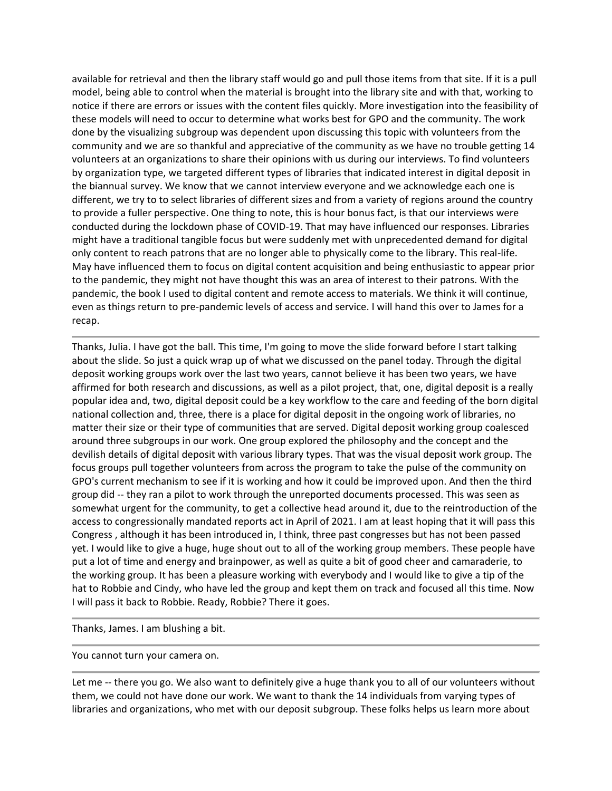available for retrieval and then the library staff would go and pull those items from that site. If it is a pull model, being able to control when the material is brought into the library site and with that, working to notice if there are errors or issues with the content files quickly. More investigation into the feasibility of these models will need to occur to determine what works best for GPO and the community. The work done by the visualizing subgroup was dependent upon discussing this topic with volunteers from the community and we are so thankful and appreciative of the community as we have no trouble getting 14 volunteers at an organizations to share their opinions with us during our interviews. To find volunteers by organization type, we targeted different types of libraries that indicated interest in digital deposit in the biannual survey. We know that we cannot interview everyone and we acknowledge each one is different, we try to to select libraries of different sizes and from a variety of regions around the country to provide a fuller perspective. One thing to note, this is hour bonus fact, is that our interviews were conducted during the lockdown phase of COVID-19. That may have influenced our responses. Libraries might have a traditional tangible focus but were suddenly met with unprecedented demand for digital only content to reach patrons that are no longer able to physically come to the library. This real-life. May have influenced them to focus on digital content acquisition and being enthusiastic to appear prior to the pandemic, they might not have thought this was an area of interest to their patrons. With the pandemic, the book I used to digital content and remote access to materials. We think it will continue, even as things return to pre-pandemic levels of access and service. I will hand this over to James for a recap.

Thanks, Julia. I have got the ball. This time, I'm going to move the slide forward before I start talking about the slide. So just a quick wrap up of what we discussed on the panel today. Through the digital deposit working groups work over the last two years, cannot believe it has been two years, we have affirmed for both research and discussions, as well as a pilot project, that, one, digital deposit is a really popular idea and, two, digital deposit could be a key workflow to the care and feeding of the born digital national collection and, three, there is a place for digital deposit in the ongoing work of libraries, no matter their size or their type of communities that are served. Digital deposit working group coalesced around three subgroups in our work. One group explored the philosophy and the concept and the devilish details of digital deposit with various library types. That was the visual deposit work group. The focus groups pull together volunteers from across the program to take the pulse of the community on GPO's current mechanism to see if it is working and how it could be improved upon. And then the third group did -- they ran a pilot to work through the unreported documents processed. This was seen as somewhat urgent for the community, to get a collective head around it, due to the reintroduction of the access to congressionally mandated reports act in April of 2021. I am at least hoping that it will pass this Congress , although it has been introduced in, I think, three past congresses but has not been passed yet. I would like to give a huge, huge shout out to all of the working group members. These people have put a lot of time and energy and brainpower, as well as quite a bit of good cheer and camaraderie, to the working group. It has been a pleasure working with everybody and I would like to give a tip of the hat to Robbie and Cindy, who have led the group and kept them on track and focused all this time. Now I will pass it back to Robbie. Ready, Robbie? There it goes.

Thanks, James. I am blushing a bit.

You cannot turn your camera on.

Let me -- there you go. We also want to definitely give a huge thank you to all of our volunteers without them, we could not have done our work. We want to thank the 14 individuals from varying types of libraries and organizations, who met with our deposit subgroup. These folks helps us learn more about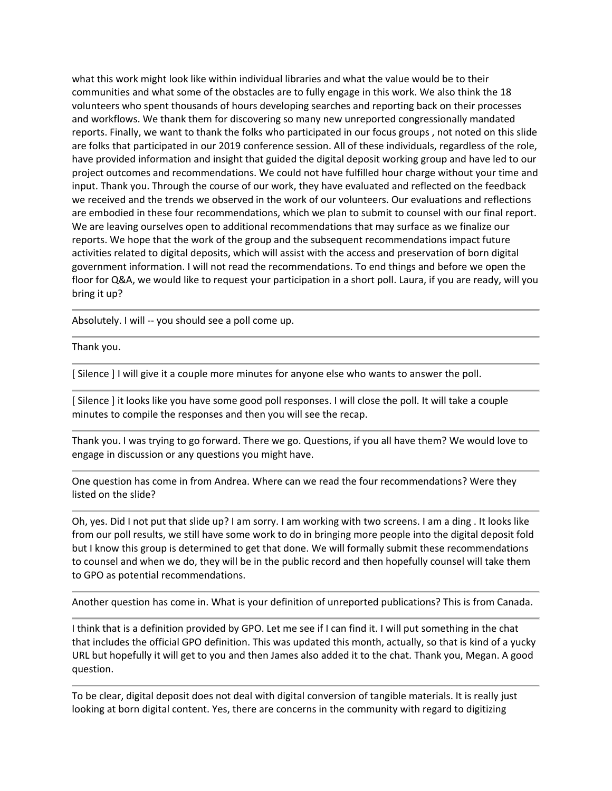what this work might look like within individual libraries and what the value would be to their communities and what some of the obstacles are to fully engage in this work. We also think the 18 volunteers who spent thousands of hours developing searches and reporting back on their processes and workflows. We thank them for discovering so many new unreported congressionally mandated reports. Finally, we want to thank the folks who participated in our focus groups , not noted on this slide are folks that participated in our 2019 conference session. All of these individuals, regardless of the role, have provided information and insight that guided the digital deposit working group and have led to our project outcomes and recommendations. We could not have fulfilled hour charge without your time and input. Thank you. Through the course of our work, they have evaluated and reflected on the feedback we received and the trends we observed in the work of our volunteers. Our evaluations and reflections are embodied in these four recommendations, which we plan to submit to counsel with our final report. We are leaving ourselves open to additional recommendations that may surface as we finalize our reports. We hope that the work of the group and the subsequent recommendations impact future activities related to digital deposits, which will assist with the access and preservation of born digital government information. I will not read the recommendations. To end things and before we open the floor for Q&A, we would like to request your participation in a short poll. Laura, if you are ready, will you bring it up?

Absolutely. I will -- you should see a poll come up.

Thank you.

[ Silence ] I will give it a couple more minutes for anyone else who wants to answer the poll.

[ Silence ] it looks like you have some good poll responses. I will close the poll. It will take a couple minutes to compile the responses and then you will see the recap.

Thank you. I was trying to go forward. There we go. Questions, if you all have them? We would love to engage in discussion or any questions you might have.

One question has come in from Andrea. Where can we read the four recommendations? Were they listed on the slide?

Oh, yes. Did I not put that slide up? I am sorry. I am working with two screens. I am a ding . It looks like from our poll results, we still have some work to do in bringing more people into the digital deposit fold but I know this group is determined to get that done. We will formally submit these recommendations to counsel and when we do, they will be in the public record and then hopefully counsel will take them to GPO as potential recommendations.

Another question has come in. What is your definition of unreported publications? This is from Canada.

I think that is a definition provided by GPO. Let me see if I can find it. I will put something in the chat that includes the official GPO definition. This was updated this month, actually, so that is kind of a yucky URL but hopefully it will get to you and then James also added it to the chat. Thank you, Megan. A good question.

To be clear, digital deposit does not deal with digital conversion of tangible materials. It is really just looking at born digital content. Yes, there are concerns in the community with regard to digitizing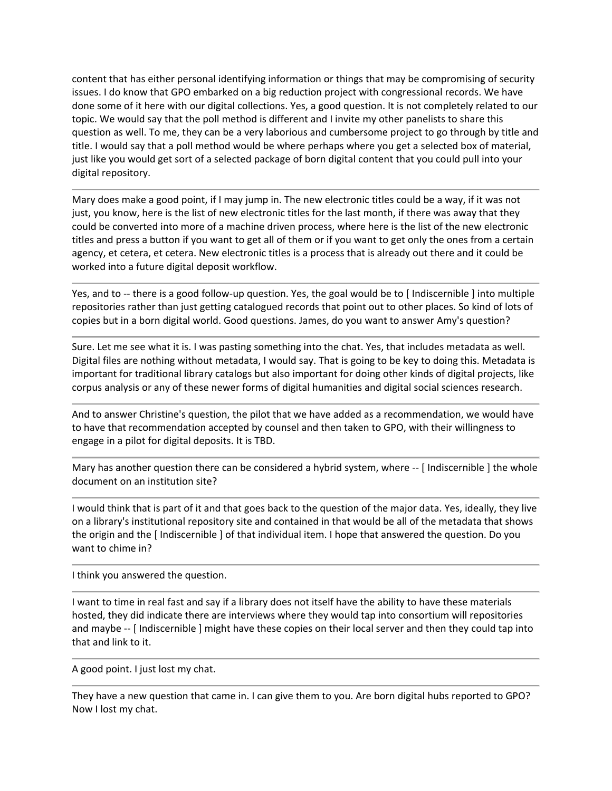content that has either personal identifying information or things that may be compromising of security issues. I do know that GPO embarked on a big reduction project with congressional records. We have done some of it here with our digital collections. Yes, a good question. It is not completely related to our topic. We would say that the poll method is different and I invite my other panelists to share this question as well. To me, they can be a very laborious and cumbersome project to go through by title and title. I would say that a poll method would be where perhaps where you get a selected box of material, just like you would get sort of a selected package of born digital content that you could pull into your digital repository.

Mary does make a good point, if I may jump in. The new electronic titles could be a way, if it was not just, you know, here is the list of new electronic titles for the last month, if there was away that they could be converted into more of a machine driven process, where here is the list of the new electronic titles and press a button if you want to get all of them or if you want to get only the ones from a certain agency, et cetera, et cetera. New electronic titles is a process that is already out there and it could be worked into a future digital deposit workflow.

Yes, and to -- there is a good follow-up question. Yes, the goal would be to [ Indiscernible ] into multiple repositories rather than just getting catalogued records that point out to other places. So kind of lots of copies but in a born digital world. Good questions. James, do you want to answer Amy's question?

Sure. Let me see what it is. I was pasting something into the chat. Yes, that includes metadata as well. Digital files are nothing without metadata, I would say. That is going to be key to doing this. Metadata is important for traditional library catalogs but also important for doing other kinds of digital projects, like corpus analysis or any of these newer forms of digital humanities and digital social sciences research.

And to answer Christine's question, the pilot that we have added as a recommendation, we would have to have that recommendation accepted by counsel and then taken to GPO, with their willingness to engage in a pilot for digital deposits. It is TBD.

Mary has another question there can be considered a hybrid system, where -- [Indiscernible ] the whole document on an institution site?

I would think that is part of it and that goes back to the question of the major data. Yes, ideally, they live on a library's institutional repository site and contained in that would be all of the metadata that shows the origin and the [ Indiscernible ] of that individual item. I hope that answered the question. Do you want to chime in?

I think you answered the question.

I want to time in real fast and say if a library does not itself have the ability to have these materials hosted, they did indicate there are interviews where they would tap into consortium will repositories and maybe -- [ Indiscernible ] might have these copies on their local server and then they could tap into that and link to it.

A good point. I just lost my chat.

They have a new question that came in. I can give them to you. Are born digital hubs reported to GPO? Now I lost my chat.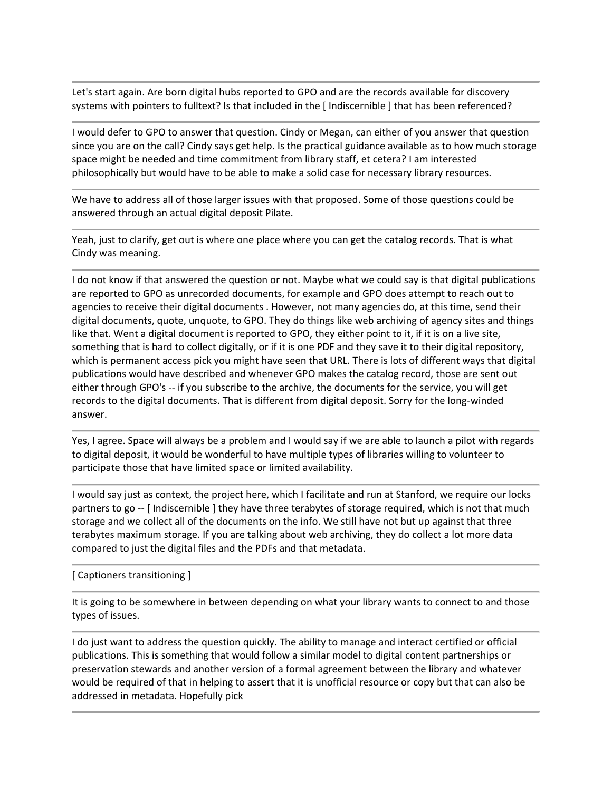Let's start again. Are born digital hubs reported to GPO and are the records available for discovery systems with pointers to fulltext? Is that included in the [ Indiscernible ] that has been referenced?

I would defer to GPO to answer that question. Cindy or Megan, can either of you answer that question since you are on the call? Cindy says get help. Is the practical guidance available as to how much storage space might be needed and time commitment from library staff, et cetera? I am interested philosophically but would have to be able to make a solid case for necessary library resources.

We have to address all of those larger issues with that proposed. Some of those questions could be answered through an actual digital deposit Pilate.

Yeah, just to clarify, get out is where one place where you can get the catalog records. That is what Cindy was meaning.

I do not know if that answered the question or not. Maybe what we could say is that digital publications are reported to GPO as unrecorded documents, for example and GPO does attempt to reach out to agencies to receive their digital documents . However, not many agencies do, at this time, send their digital documents, quote, unquote, to GPO. They do things like web archiving of agency sites and things like that. Went a digital document is reported to GPO, they either point to it, if it is on a live site, something that is hard to collect digitally, or if it is one PDF and they save it to their digital repository, which is permanent access pick you might have seen that URL. There is lots of different ways that digital publications would have described and whenever GPO makes the catalog record, those are sent out either through GPO's -- if you subscribe to the archive, the documents for the service, you will get records to the digital documents. That is different from digital deposit. Sorry for the long-winded answer.

Yes, I agree. Space will always be a problem and I would say if we are able to launch a pilot with regards to digital deposit, it would be wonderful to have multiple types of libraries willing to volunteer to participate those that have limited space or limited availability.

I would say just as context, the project here, which I facilitate and run at Stanford, we require our locks partners to go -- [ Indiscernible ] they have three terabytes of storage required, which is not that much storage and we collect all of the documents on the info. We still have not but up against that three terabytes maximum storage. If you are talking about web archiving, they do collect a lot more data compared to just the digital files and the PDFs and that metadata.

[ Captioners transitioning ]

It is going to be somewhere in between depending on what your library wants to connect to and those types of issues.

I do just want to address the question quickly. The ability to manage and interact certified or official publications. This is something that would follow a similar model to digital content partnerships or preservation stewards and another version of a formal agreement between the library and whatever would be required of that in helping to assert that it is unofficial resource or copy but that can also be addressed in metadata. Hopefully pick